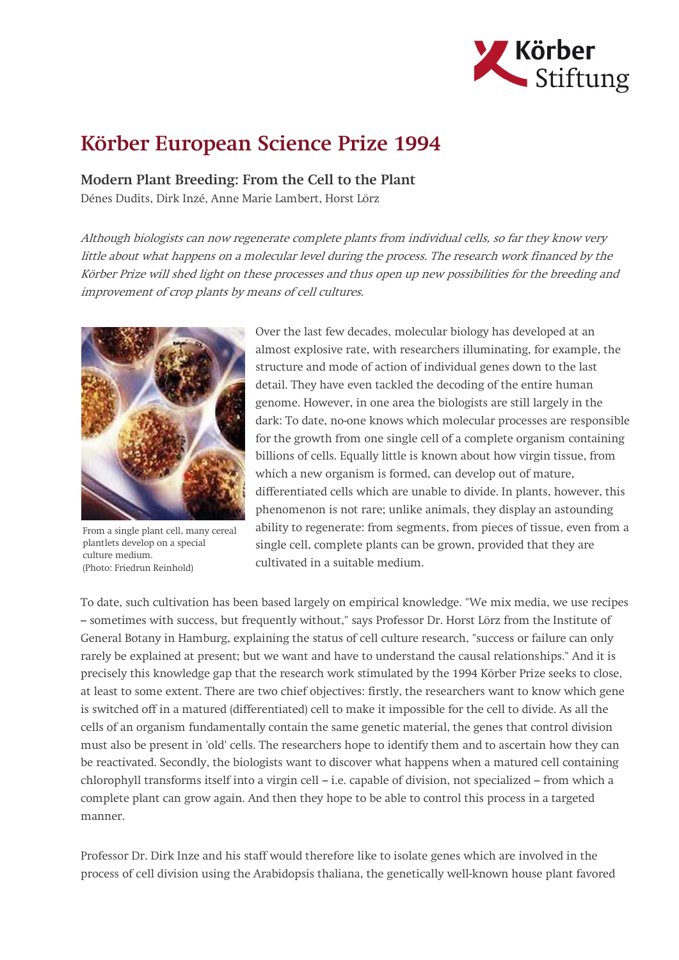

## Körber European Science Prize 1994

Modern Plant Breeding: From the Cell to the Plant

Dénes Dudits, Dirk Inzé, Anne Marie Lambert, Horst Lörz

Although biologists can now regenerate complete plants from individual cells, so far they know very little about what happens on a molecular level during the process. The research work financed by the Körber Prize will shed light on these processes and thus open up new possibilities for the breeding and improvement of crop plants by means of cell cultures.



From a single plant cell, many cereal plantlets develop on a special culture medium. (Photo: Friedrun Reinhold)

Over the last few decades, molecular biology has developed at an almost explosive rate, with researchers illuminating, for example, the structure and mode of action of individual genes down to the last detail. They have even tackled the decoding of the entire human genome. However, in one area the biologists are still largely in the dark: To date, no-one knows which molecular processes are responsible for the growth from one single cell of a complete organism containing billions of cells. Equally little is known about how virgin tissue, from which a new organism is formed, can develop out of mature, differentiated cells which are unable to divide. In plants, however, this phenomenon is not rare; unlike animals, they display an astounding ability to regenerate: from segments, from pieces of tissue, even from a single cell, complete plants can be grown, provided that they are cultivated in a suitable medium.

To date, such cultivation has been based largely on empirical knowledge. "We mix media, we use recipes – sometimes with success, but frequently without," says Professor Dr. Horst Lörz from the Institute of General Botany in Hamburg, explaining the status of cell culture research, "success or failure can only rarely be explained at present; but we want and have to understand the causal relationships." And it is precisely this knowledge gap that the research work stimulated by the 1994 Körber Prize seeks to close, at least to some extent. There are two chief objectives: firstly, the researchers want to know which gene is switched off in a matured (differentiated) cell to make it impossible for the cell to divide. As all the cells of an organism fundamentally contain the same genetic material, the genes that control division must also be present in 'old' cells. The researchers hope to identify them and to ascertain how they can be reactivated. Secondly, the biologists want to discover what happens when a matured cell containing chlorophyll transforms itself into a virgin cell – i.e. capable of division, not specialized – from which a complete plant can grow again. And then they hope to be able to control this process in a targeted manner.

Professor Dr. Dirk Inze and his staff would therefore like to isolate genes which are involved in the process of cell division using the Arabidopsis thaliana, the genetically well-known house plant favored